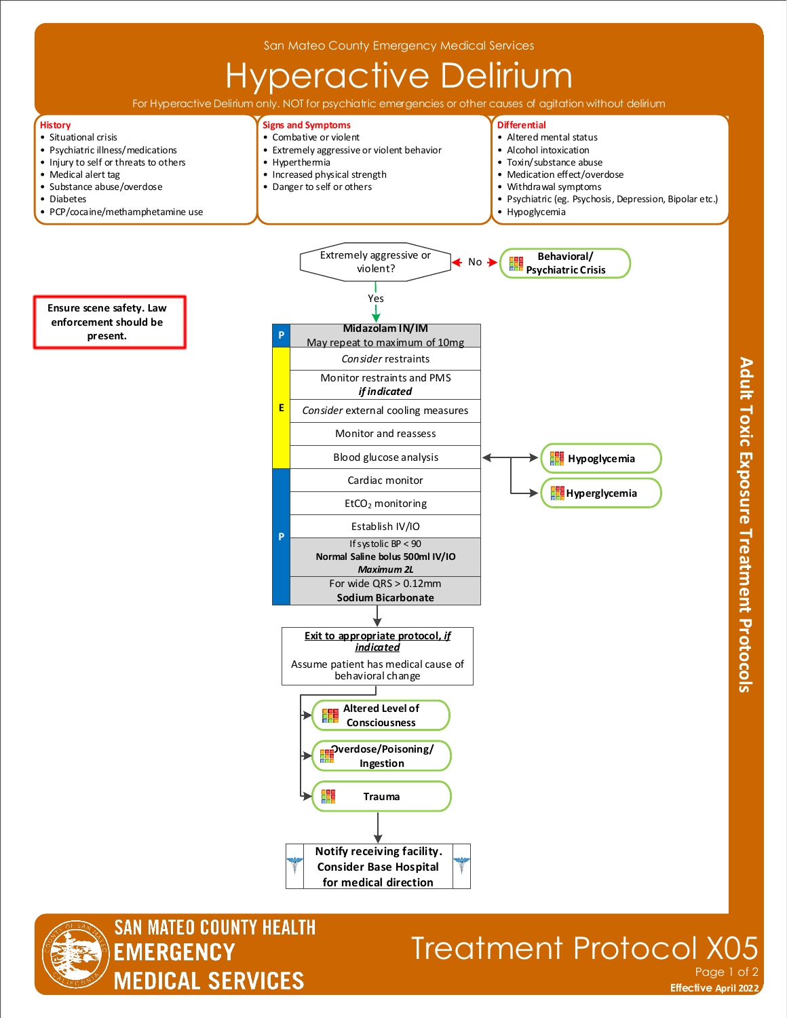

**for medical direction**

**SAN MATEO COUNTY HEALTH EMERGENCY MEDICAL SERVICES** 

## Treatment Protocol X05 Page 1 of 2

**Effective November 2018 Effective April 2022**